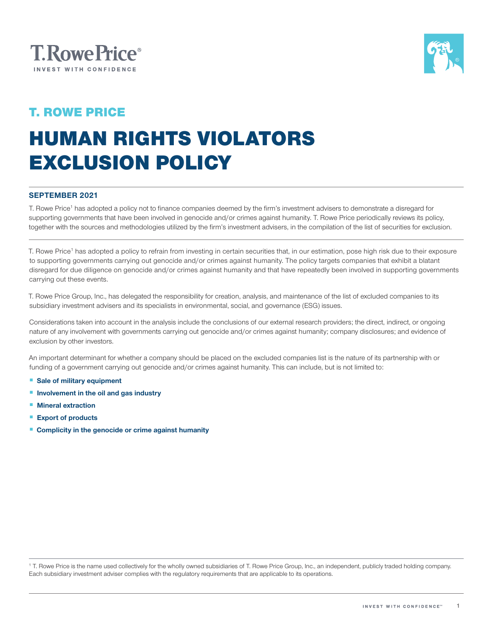



### T. ROWE PRICE

# HUMAN RIGHTS VIOLATORS EXCLUSION POLICY

#### SEPTEMBER 2021

T. Rowe Price<sup>1</sup> has adopted a policy not to finance companies deemed by the firm's investment advisers to demonstrate a disregard for supporting governments that have been involved in genocide and/or crimes against humanity. T. Rowe Price periodically reviews its policy, together with the sources and methodologies utilized by the firm's investment advisers, in the compilation of the list of securities for exclusion.

T. Rowe Price<sup>1</sup> has adopted a policy to refrain from investing in certain securities that, in our estimation, pose high risk due to their exposure to supporting governments carrying out genocide and/or crimes against humanity. The policy targets companies that exhibit a blatant disregard for due diligence on genocide and/or crimes against humanity and that have repeatedly been involved in supporting governments carrying out these events.

T. Rowe Price Group, Inc., has delegated the responsibility for creation, analysis, and maintenance of the list of excluded companies to its subsidiary investment advisers and its specialists in environmental, social, and governance (ESG) issues.

Considerations taken into account in the analysis include the conclusions of our external research providers; the direct, indirect, or ongoing nature of any involvement with governments carrying out genocide and/or crimes against humanity; company disclosures; and evidence of exclusion by other investors.

An important determinant for whether a company should be placed on the excluded companies list is the nature of its partnership with or funding of a government carrying out genocide and/or crimes against humanity. This can include, but is not limited to:

- Sale of military equipment
- Involvement in the oil and gas industry
- Mineral extraction
- Export of products
- Complicity in the genocide or crime against humanity

<sup>1</sup> T. Rowe Price is the name used collectively for the wholly owned subsidiaries of T. Rowe Price Group, Inc., an independent, publicly traded holding company. Each subsidiary investment adviser complies with the regulatory requirements that are applicable to its operations.